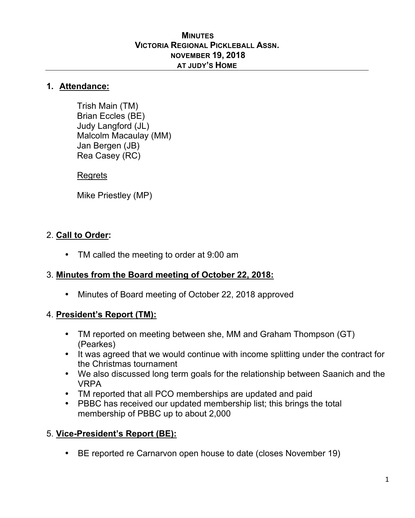#### **MINUTES VICTORIA REGIONAL PICKLEBALL ASSN. NOVEMBER 19, 2018 AT JUDY'S HOME**

#### **1. Attendance:**

Trish Main (TM) Brian Eccles (BE) Judy Langford (JL) Malcolm Macaulay (MM) Jan Bergen (JB) Rea Casey (RC)

### Regrets

Mike Priestley (MP)

## 2. **Call to Order:**

• TM called the meeting to order at 9:00 am

## 3. **Minutes from the Board meeting of October 22, 2018:**

• Minutes of Board meeting of October 22, 2018 approved

## 4. **President's Report (TM):**

- TM reported on meeting between she, MM and Graham Thompson (GT) (Pearkes)
- It was agreed that we would continue with income splitting under the contract for the Christmas tournament
- We also discussed long term goals for the relationship between Saanich and the VRPA
- TM reported that all PCO memberships are updated and paid
- PBBC has received our updated membership list; this brings the total membership of PBBC up to about 2,000

## 5. **Vice-President's Report (BE):**

BE reported re Carnarvon open house to date (closes November 19)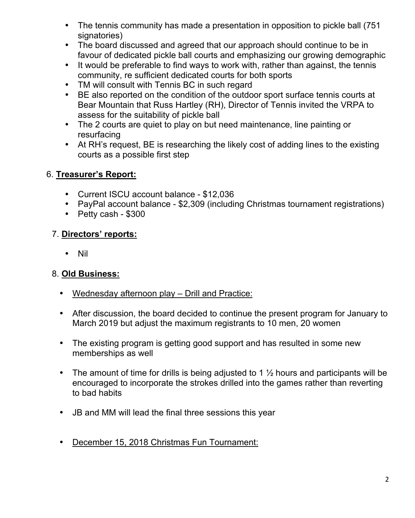- The tennis community has made a presentation in opposition to pickle ball (751) signatories)
- The board discussed and agreed that our approach should continue to be in favour of dedicated pickle ball courts and emphasizing our growing demographic
- It would be preferable to find ways to work with, rather than against, the tennis community, re sufficient dedicated courts for both sports
- TM will consult with Tennis BC in such regard
- BE also reported on the condition of the outdoor sport surface tennis courts at Bear Mountain that Russ Hartley (RH), Director of Tennis invited the VRPA to assess for the suitability of pickle ball
- The 2 courts are quiet to play on but need maintenance, line painting or resurfacing
- At RH's request, BE is researching the likely cost of adding lines to the existing courts as a possible first step

## 6. **Treasurer's Report:**

- Current ISCU account balance \$12,036
- PayPal account balance \$2,309 (including Christmas tournament registrations)
- Petty cash \$300

## 7. **Directors' reports:**

• Nil

# 8. **Old Business:**

- Wednesday afternoon play Drill and Practice:
- After discussion, the board decided to continue the present program for January to March 2019 but adjust the maximum registrants to 10 men, 20 women
- The existing program is getting good support and has resulted in some new memberships as well
- The amount of time for drills is being adjusted to 1  $\frac{1}{2}$  hours and participants will be encouraged to incorporate the strokes drilled into the games rather than reverting to bad habits
- JB and MM will lead the final three sessions this year
- December 15, 2018 Christmas Fun Tournament: